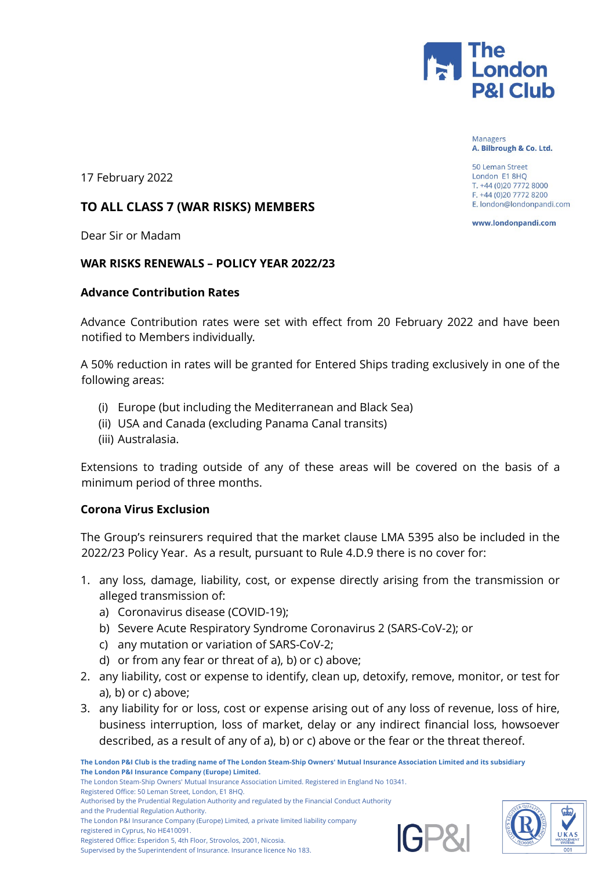

**Managers** A. Bilbrough & Co. Ltd.

50 Leman Street London E1 8HQ T. +44 (0)20 7772 8000 F. +44 (0)20 7772 8200 E. london@londonpandi.com

www.londonpandi.com

17 February 2022

## **TO ALL CLASS 7 (WAR RISKS) MEMBERS**

Dear Sir or Madam

#### **WAR RISKS RENEWALS – POLICY YEAR 2022/23**

#### **Advance Contribution Rates**

Advance Contribution rates were set with effect from 20 February 2022 and have been notified to Members individually.

A 50% reduction in rates will be granted for Entered Ships trading exclusively in one of the following areas:

- (i) Europe (but including the Mediterranean and Black Sea)
- (ii) USA and Canada (excluding Panama Canal transits)
- (iii) Australasia.

Extensions to trading outside of any of these areas will be covered on the basis of a minimum period of three months.

## **Corona Virus Exclusion**

The Group's reinsurers required that the market clause LMA 5395 also be included in the 2022/23 Policy Year. As a result, pursuant to Rule 4.D.9 there is no cover for:

- 1. any loss, damage, liability, cost, or expense directly arising from the transmission or alleged transmission of:
	- a) Coronavirus disease (COVID-19);
	- b) Severe Acute Respiratory Syndrome Coronavirus 2 (SARS-CoV-2); or
	- c) any mutation or variation of SARS-CoV-2;
	- d) or from any fear or threat of a), b) or c) above;
- 2. any liability, cost or expense to identify, clean up, detoxify, remove, monitor, or test for a), b) or c) above;
- 3. any liability for or loss, cost or expense arising out of any loss of revenue, loss of hire, business interruption, loss of market, delay or any indirect financial loss, howsoever described, as a result of any of a), b) or c) above or the fear or the threat thereof.

**The London P&I Club is the trading name of The London Steam-Ship Owners' Mutual Insurance Association Limited and its subsidiary The London P&I Insurance Company (Europe) Limited.** The London Steam-Ship Owners' Mutual Insurance Association Limited. Registered in England No 10341.

Registered Office: 50 Leman Street, London, E1 8HQ.

and the Prudential Regulation Authority.

The London P&I Insurance Company (Europe) Limited, a private limited liability company

registered in Cyprus, No HE410091.

Registered Office: Esperidon 5, 4th Floor, Strovolos, 2001, Nicosia. Supervised by the Superintendent of Insurance. Insurance licence No 183.





Authorised by the Prudential Regulation Authority and regulated by the Financial Conduct Authority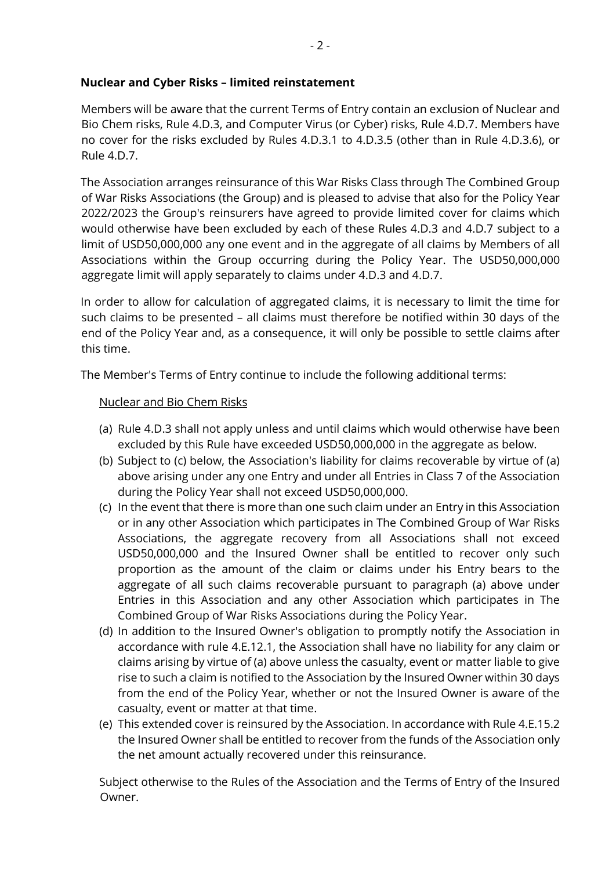## **Nuclear and Cyber Risks – limited reinstatement**

Members will be aware that the current Terms of Entry contain an exclusion of Nuclear and Bio Chem risks, Rule 4.D.3, and Computer Virus (or Cyber) risks, Rule 4.D.7. Members have no cover for the risks excluded by Rules 4.D.3.1 to 4.D.3.5 (other than in Rule 4.D.3.6), or Rule 4.D.7.

The Association arranges reinsurance of this War Risks Class through The Combined Group of War Risks Associations (the Group) and is pleased to advise that also for the Policy Year 2022/2023 the Group's reinsurers have agreed to provide limited cover for claims which would otherwise have been excluded by each of these Rules 4.D.3 and 4.D.7 subject to a limit of USD50,000,000 any one event and in the aggregate of all claims by Members of all Associations within the Group occurring during the Policy Year. The USD50,000,000 aggregate limit will apply separately to claims under 4.D.3 and 4.D.7.

In order to allow for calculation of aggregated claims, it is necessary to limit the time for such claims to be presented – all claims must therefore be notified within 30 days of the end of the Policy Year and, as a consequence, it will only be possible to settle claims after this time.

The Member's Terms of Entry continue to include the following additional terms:

## Nuclear and Bio Chem Risks

- (a) Rule 4.D.3 shall not apply unless and until claims which would otherwise have been excluded by this Rule have exceeded USD50,000,000 in the aggregate as below.
- (b) Subject to (c) below, the Association's liability for claims recoverable by virtue of (a) above arising under any one Entry and under all Entries in Class 7 of the Association during the Policy Year shall not exceed USD50,000,000.
- (c) In the event that there is more than one such claim under an Entry in this Association or in any other Association which participates in The Combined Group of War Risks Associations, the aggregate recovery from all Associations shall not exceed USD50,000,000 and the Insured Owner shall be entitled to recover only such proportion as the amount of the claim or claims under his Entry bears to the aggregate of all such claims recoverable pursuant to paragraph (a) above under Entries in this Association and any other Association which participates in The Combined Group of War Risks Associations during the Policy Year.
- (d) In addition to the Insured Owner's obligation to promptly notify the Association in accordance with rule 4.E.12.1, the Association shall have no liability for any claim or claims arising by virtue of (a) above unless the casualty, event or matter liable to give rise to such a claim is notified to the Association by the Insured Owner within 30 days from the end of the Policy Year, whether or not the Insured Owner is aware of the casualty, event or matter at that time.
- (e) This extended cover is reinsured by the Association. In accordance with Rule 4.E.15.2 the Insured Owner shall be entitled to recover from the funds of the Association only the net amount actually recovered under this reinsurance.

Subject otherwise to the Rules of the Association and the Terms of Entry of the Insured Owner.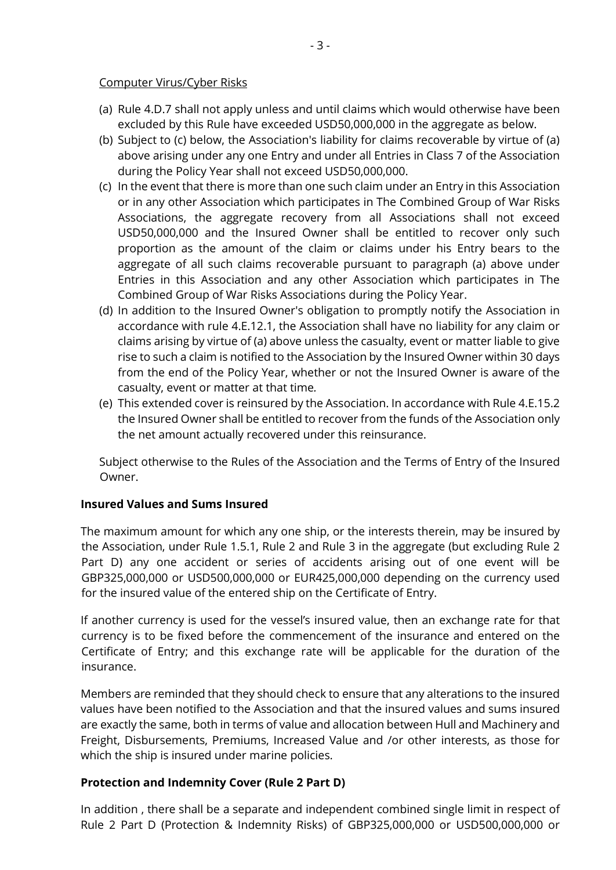#### Computer Virus/Cyber Risks

- (a) Rule 4.D.7 shall not apply unless and until claims which would otherwise have been excluded by this Rule have exceeded USD50,000,000 in the aggregate as below.
- (b) Subject to (c) below, the Association's liability for claims recoverable by virtue of (a) above arising under any one Entry and under all Entries in Class 7 of the Association during the Policy Year shall not exceed USD50,000,000.
- (c) In the event that there is more than one such claim under an Entry in this Association or in any other Association which participates in The Combined Group of War Risks Associations, the aggregate recovery from all Associations shall not exceed USD50,000,000 and the Insured Owner shall be entitled to recover only such proportion as the amount of the claim or claims under his Entry bears to the aggregate of all such claims recoverable pursuant to paragraph (a) above under Entries in this Association and any other Association which participates in The Combined Group of War Risks Associations during the Policy Year.
- (d) In addition to the Insured Owner's obligation to promptly notify the Association in accordance with rule 4.E.12.1, the Association shall have no liability for any claim or claims arising by virtue of (a) above unless the casualty, event or matter liable to give rise to such a claim is notified to the Association by the Insured Owner within 30 days from the end of the Policy Year, whether or not the Insured Owner is aware of the casualty, event or matter at that time*.*
- (e) This extended cover is reinsured by the Association. In accordance with Rule 4.E.15.2 the Insured Owner shall be entitled to recover from the funds of the Association only the net amount actually recovered under this reinsurance.

Subject otherwise to the Rules of the Association and the Terms of Entry of the Insured Owner.

## **Insured Values and Sums Insured**

The maximum amount for which any one ship, or the interests therein, may be insured by the Association, under Rule 1.5.1, Rule 2 and Rule 3 in the aggregate (but excluding Rule 2 Part D) any one accident or series of accidents arising out of one event will be GBP325,000,000 or USD500,000,000 or EUR425,000,000 depending on the currency used for the insured value of the entered ship on the Certificate of Entry.

If another currency is used for the vessel's insured value, then an exchange rate for that currency is to be fixed before the commencement of the insurance and entered on the Certificate of Entry; and this exchange rate will be applicable for the duration of the insurance.

Members are reminded that they should check to ensure that any alterations to the insured values have been notified to the Association and that the insured values and sums insured are exactly the same, both in terms of value and allocation between Hull and Machinery and Freight, Disbursements, Premiums, Increased Value and /or other interests, as those for which the ship is insured under marine policies.

## **Protection and Indemnity Cover (Rule 2 Part D)**

In addition , there shall be a separate and independent combined single limit in respect of Rule 2 Part D (Protection & Indemnity Risks) of GBP325,000,000 or USD500,000,000 or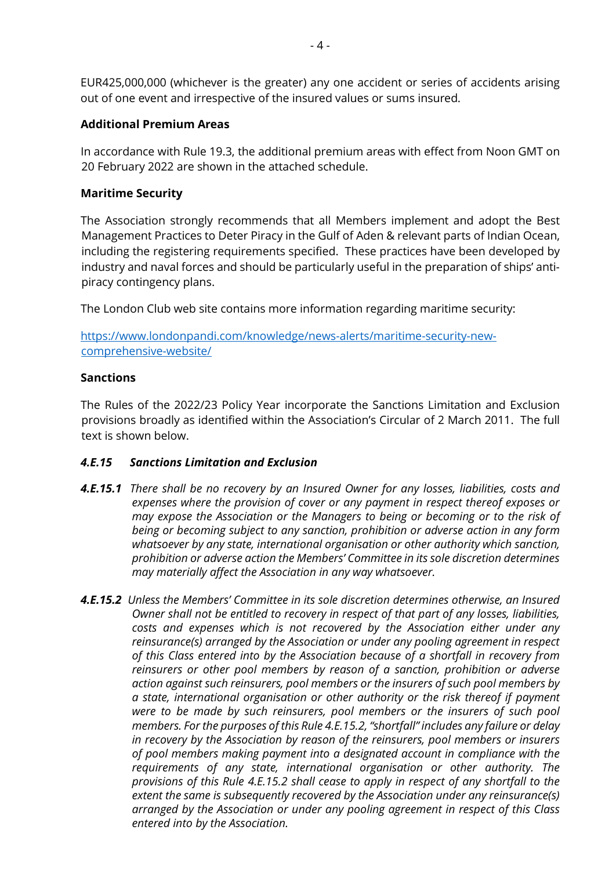EUR425,000,000 (whichever is the greater) any one accident or series of accidents arising out of one event and irrespective of the insured values or sums insured.

### **Additional Premium Areas**

In accordance with Rule 19.3, the additional premium areas with effect from Noon GMT on 20 February 2022 are shown in the attached schedule.

### **Maritime Security**

The Association strongly recommends that all Members implement and adopt the Best Management Practices to Deter Piracy in the Gulf of Aden & relevant parts of Indian Ocean, including the registering requirements specified. These practices have been developed by industry and naval forces and should be particularly useful in the preparation of ships' antipiracy contingency plans.

The London Club web site contains more information regarding maritime security:

[https://www.londonpandi.com/knowledge/news-alerts/maritime-security-new](https://www.londonpandi.com/knowledge/news-alerts/maritime-security-new-comprehensive-website/)[comprehensive-website/](https://www.londonpandi.com/knowledge/news-alerts/maritime-security-new-comprehensive-website/)

#### **Sanctions**

The Rules of the 2022/23 Policy Year incorporate the Sanctions Limitation and Exclusion provisions broadly as identified within the Association's Circular of 2 March 2011. The full text is shown below.

## *4.E.15 Sanctions Limitation and Exclusion*

- *4.E.15.1 There shall be no recovery by an Insured Owner for any losses, liabilities, costs and expenses where the provision of cover or any payment in respect thereof exposes or may expose the Association or the Managers to being or becoming or to the risk of being or becoming subject to any sanction, prohibition or adverse action in any form whatsoever by any state, international organisation or other authority which sanction, prohibition or adverse action the Members' Committee in its sole discretion determines may materially affect the Association in any way whatsoever.*
- *4.E.15.2 Unless the Members' Committee in its sole discretion determines otherwise, an Insured Owner shall not be entitled to recovery in respect of that part of any losses, liabilities, costs and expenses which is not recovered by the Association either under any reinsurance(s) arranged by the Association or under any pooling agreement in respect of this Class entered into by the Association because of a shortfall in recovery from reinsurers or other pool members by reason of a sanction, prohibition or adverse action against such reinsurers, pool members or the insurers of such pool members by a state, international organisation or other authority or the risk thereof if payment were to be made by such reinsurers, pool members or the insurers of such pool members. For the purposes of this Rule 4.E.15.2, "shortfall" includes any failure or delay in recovery by the Association by reason of the reinsurers, pool members or insurers of pool members making payment into a designated account in compliance with the requirements of any state, international organisation or other authority. The provisions of this Rule 4.E.15.2 shall cease to apply in respect of any shortfall to the extent the same is subsequently recovered by the Association under any reinsurance(s) arranged by the Association or under any pooling agreement in respect of this Class entered into by the Association.*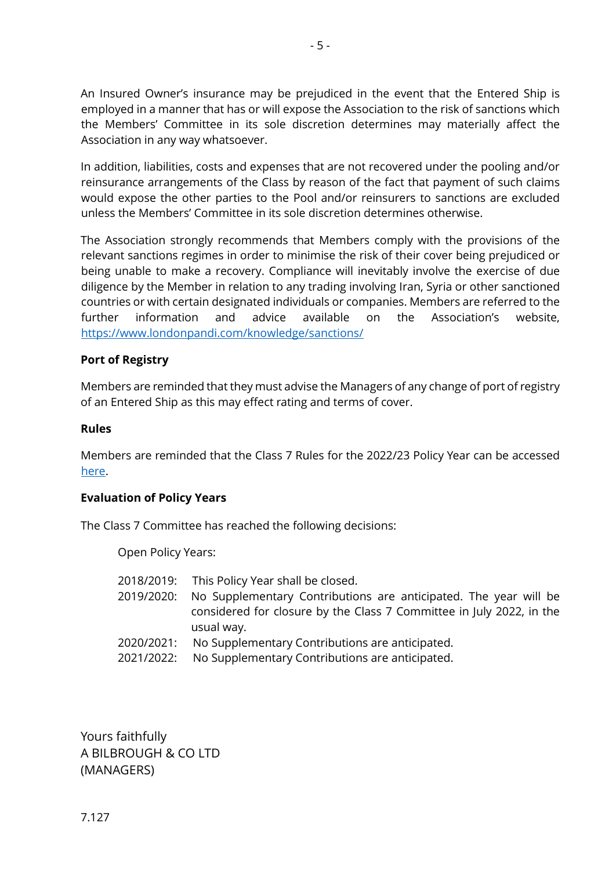An Insured Owner's insurance may be prejudiced in the event that the Entered Ship is employed in a manner that has or will expose the Association to the risk of sanctions which the Members' Committee in its sole discretion determines may materially affect the Association in any way whatsoever.

In addition, liabilities, costs and expenses that are not recovered under the pooling and/or reinsurance arrangements of the Class by reason of the fact that payment of such claims would expose the other parties to the Pool and/or reinsurers to sanctions are excluded unless the Members' Committee in its sole discretion determines otherwise.

The Association strongly recommends that Members comply with the provisions of the relevant sanctions regimes in order to minimise the risk of their cover being prejudiced or being unable to make a recovery. Compliance will inevitably involve the exercise of due diligence by the Member in relation to any trading involving Iran, Syria or other sanctioned countries or with certain designated individuals or companies. Members are referred to the further information and advice available on the Association's website, <https://www.londonpandi.com/knowledge/sanctions/>

## **Port of Registry**

Members are reminded that they must advise the Managers of any change of port of registry of an Entered Ship as this may effect rating and terms of cover.

#### **Rules**

Members are reminded that the Class 7 Rules for the 2022/23 Policy Year can be accessed [here.](https://www.londonpandi.com/documents/the-london-club-war-risk-rules-class-7-2022-2023/)

#### **Evaluation of Policy Years**

The Class 7 Committee has reached the following decisions:

Open Policy Years:

| 2018/2019: | This Policy Year shall be closed. |  |
|------------|-----------------------------------|--|
|------------|-----------------------------------|--|

- 2019/2020: No Supplementary Contributions are anticipated. The year will be considered for closure by the Class 7 Committee in July 2022, in the usual way.
- 2020/2021: No Supplementary Contributions are anticipated.
- 2021/2022: No Supplementary Contributions are anticipated.

Yours faithfully A BILBROUGH & CO LTD (MANAGERS)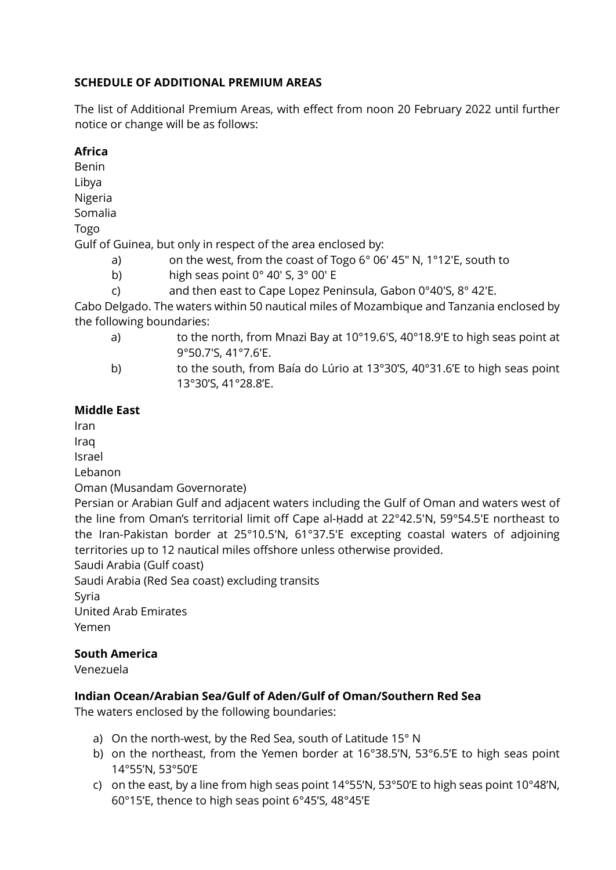# **SCHEDULE OF ADDITIONAL PREMIUM AREAS**

The list of Additional Premium Areas, with effect from noon 20 February 2022 until further notice or change will be as follows:

## **Africa**

Benin Libya Nigeria Somalia Togo Gulf of Guinea, but only in respect of the area enclosed by: a) on the west, from the coast of Togo 6° 06′ 45″ N, 1°12′E, south to b) high seas point 0° 40′ S, 3° 00′ E c) and then east to Cape Lopez Peninsula, Gabon 0°40′S, 8° 42′E.

Cabo Delgado. The waters within 50 nautical miles of Mozambique and Tanzania enclosed by the following boundaries:

- a) to the north, from Mnazi Bay at 10°19.6'S, 40°18.9'E to high seas point at 9°50.7'S, 41°7.6'E.
- b) to the south, from Baía do Lúrio at 13°30'S, 40°31.6'E to high seas point 13°30'S, 41°28.8'E.

# **Middle East**

Iran

Iraq

Israel

Lebanon

Oman (Musandam Governorate)

Persian or Arabian Gulf and adjacent waters including the Gulf of Oman and waters west of the line from Oman's territorial limit off Cape al-Ḥadd at 22°42.5'N, 59°54.5'E northeast to the Iran-Pakistan border at 25°10.5'N, 61°37.5'E excepting coastal waters of adjoining territories up to 12 nautical miles offshore unless otherwise provided.

Saudi Arabia (Gulf coast)

Saudi Arabia (Red Sea coast) excluding transits

Syria

United Arab Emirates

Yemen

## **South America**

Venezuela

# **Indian Ocean/Arabian Sea/Gulf of Aden/Gulf of Oman/Southern Red Sea**

The waters enclosed by the following boundaries:

- a) On the north-west, by the Red Sea, south of Latitude 15° N
- b) on the northeast, from the Yemen border at 16°38.5'N, 53°6.5'E to high seas point 14°55'N, 53°50'E
- c) on the east, by a line from high seas point 14°55'N, 53°50'E to high seas point 10°48'N, 60°15'E, thence to high seas point 6°45'S, 48°45'E